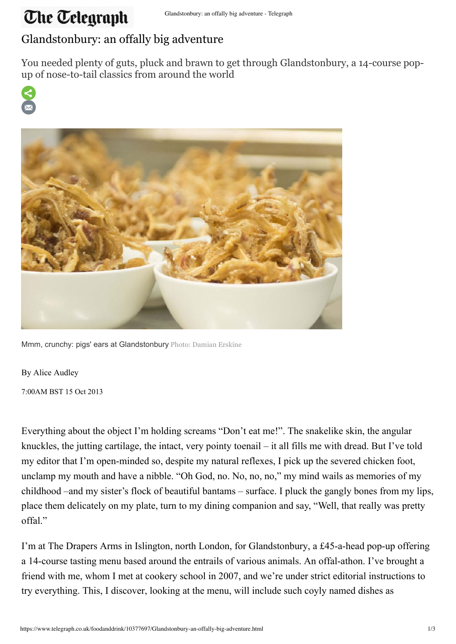## **The Telegraph** Glandstonbury: an offally big adventure - Telegraph

## Glandstonbury: an offally big adventure

You needed plenty of guts, pluck and brawn to get through Glandstonbury, a 14-course popup of nose-to-tail classics from around the world





Mmm, crunchy: pigs' ears at Glandstonbury Photo: Damian Erskine

By [Alice Audley](http://preview.telegraph.co.uk/journalists/alice-audley/) 7:00AM BST 15 Oct 2013

Everything about the object I'm holding screams "Don't eat me!". The snakelike skin, the angular knuckles, the jutting cartilage, the intact, very pointy toenail – it all fills me with dread. But I've told my editor that I'm open-minded so, despite my natural reflexes, I pick up the severed chicken foot, unclamp my mouth and have a nibble. "Oh God, no. No, no, no," my mind wails as memories of my childhood –and my sister's flock of beautiful bantams – surface. I pluck the gangly bones from my lips, place them delicately on my plate, turn to my dining companion and say, "Well, that really was pretty offal."

I'm at The Drapers Arms in Islington, north London, for [Glandstonbury,](http://thedrapersarms.tumblr.com/post/61103642576/glandstonbury-2013) a £45-a-head pop-up offering a 14-course tasting menu based around the entrails of various animals. An offal-athon. I've brought a friend with me, whom I met at cookery school in 2007, and we're under strict editorial instructions to try everything. This, I discover, looking at the menu, will include such coyly named dishes as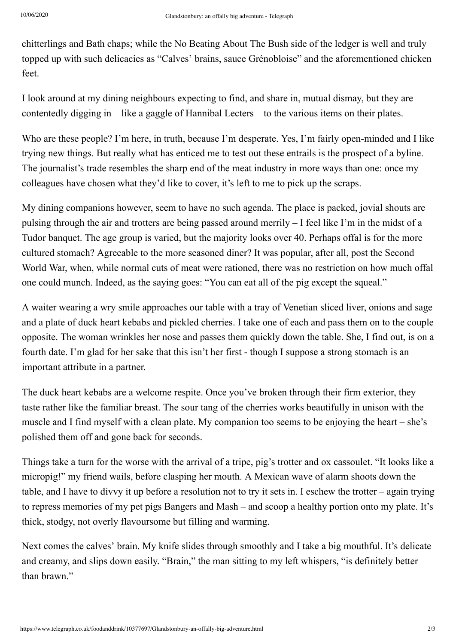chitterlings and Bath chaps; while the No Beating About The Bush side of the ledger is well and truly topped up with such delicacies as "Calves' brains, sauce Grénobloise" and the aforementioned chicken feet.

I look around at my dining neighbours expecting to find, and share in, mutual dismay, but they are contentedly digging in – like a gaggle of Hannibal Lecters – to the various items on their plates.

Who are these people? I'm here, in truth, because I'm desperate. Yes, I'm fairly open-minded and I like trying new things. But really what has enticed me to test out these entrails is the prospect of a byline. The journalist's trade resembles the sharp end of the meat industry in more ways than one: once my colleagues have chosen what they'd like to cover, it's left to me to pick up the scraps.

My dining companions however, seem to have no such agenda. The place is packed, jovial shouts are pulsing through the air and trotters are being passed around merrily – I feel like I'm in the midst of a Tudor banquet. The age group is varied, but the majority looks over 40. Perhaps offal is for the more cultured stomach? Agreeable to the more seasoned diner? It was popular, after all, post the Second World War, when, while normal cuts of meat were rationed, there was no restriction on how much offal one could munch. Indeed, as the saying goes: "You can eat all of the pig except the squeal."

A waiter wearing a wry smile approaches our table with a tray of Venetian sliced liver, onions and sage and a plate of duck heart kebabs and pickled cherries. I take one of each and pass them on to the couple opposite. The woman wrinkles her nose and passes them quickly down the table. She, I find out, is on a fourth date. I'm glad for her sake that this isn't her first - though I suppose a strong stomach is an important attribute in a partner.

The duck heart kebabs are a welcome respite. Once you've broken through their firm exterior, they taste rather like the familiar breast. The sour tang of the cherries works beautifully in unison with the muscle and I find myself with a clean plate. My companion too seems to be enjoying the heart – she's polished them off and gone back for seconds.

Things take a turn for the worse with the arrival of a tripe, pig's trotter and ox cassoulet. "It looks like a micropig!" my friend wails, before clasping her mouth. A Mexican wave of alarm shoots down the table, and I have to divvy it up before a resolution not to try it sets in. I eschew the trotter – again trying to repress memories of my pet pigs Bangers and Mash – and scoop a healthy portion onto my plate. It's thick, stodgy, not overly flavoursome but filling and warming.

Next comes the calves' brain. My knife slides through smoothly and I take a big mouthful. It's delicate and creamy, and slips down easily. "Brain," the man sitting to my left whispers, "is definitely better than brawn"